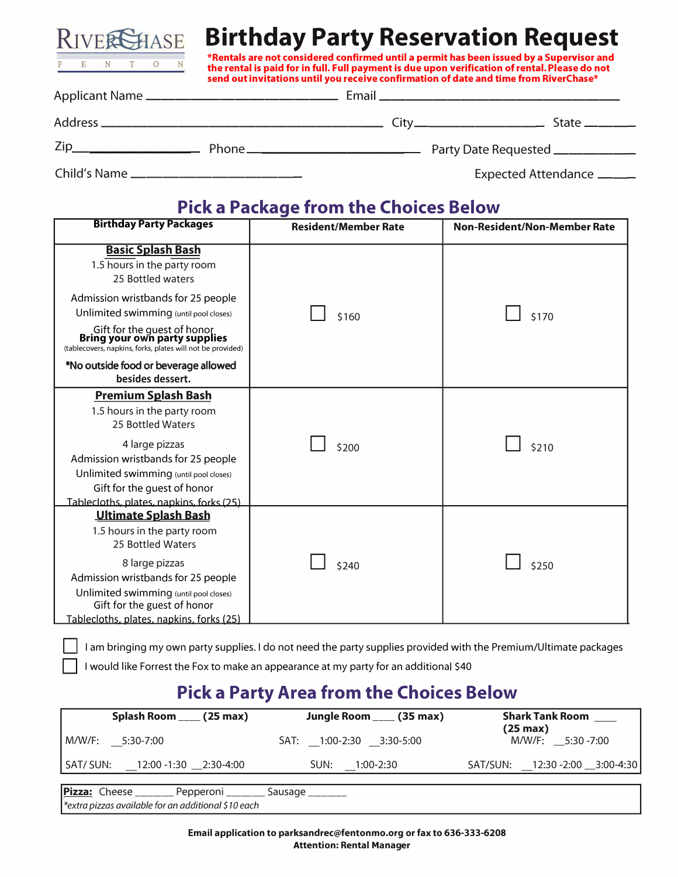

# R:rvE�SE **Birthday Party Reservation Request**

**\*Rentals are not considered confirmed until a permit has been Issued by a Supervisor and the rental Is paid for in full. Full payment is due upon verification of rental. Please do not send out invitations until you receive confirmation of date and time from RiverChase\*** 

| Address.                                               | <u> 2000 - Jan James James James James James James James James James James James James James James James James J</u> | $Citv$ <sub>_______________________</sub> __ | State _______             |
|--------------------------------------------------------|----------------------------------------------------------------------------------------------------------------------|----------------------------------------------|---------------------------|
| Zip<br>the contract of the contract of the contract of | Phone_____________________________                                                                                   | Party Date Requested __________              |                           |
| Child's Name ____________________                      |                                                                                                                      |                                              | Expected Attendance _____ |

# **Pick a Package from the Choices Below**

| <b>Birthday Party Packages</b>                                                                                                                                            | <b>Resident/Member Rate</b> | <b>Non-Resident/Non-Member Rate</b> |
|---------------------------------------------------------------------------------------------------------------------------------------------------------------------------|-----------------------------|-------------------------------------|
| <b>Basic Splash Bash</b><br>1.5 hours in the party room<br>25 Bottled waters                                                                                              |                             |                                     |
| Admission wristbands for 25 people<br>Unlimited swimming (until pool closes)                                                                                              | \$160                       | \$170                               |
| Gift for the guest of honor<br><b>Bring your own party supplies</b><br>(tablecovers, napkins, forks, plates will not be provided)                                         |                             |                                     |
| *No outside food or beverage allowed<br>besides dessert.                                                                                                                  |                             |                                     |
| <b>Premium Splash Bash</b><br>1.5 hours in the party room<br>25 Bottled Waters                                                                                            |                             |                                     |
| 4 large pizzas<br>Admission wristbands for 25 people<br>Unlimited swimming (until pool closes)<br>Gift for the guest of honor<br>Tablecloths, plates, napkins, forks (25) | \$200                       | \$210                               |
| <b>Ultimate Splash Bash</b><br>1.5 hours in the party room<br>25 Bottled Waters                                                                                           |                             |                                     |
| 8 large pizzas<br>Admission wristbands for 25 people<br>Unlimited swimming (until pool closes)<br>Gift for the guest of honor<br>Tablecloths, plates, napkins, forks (25) | \$240                       | \$250                               |

D I am bringing my own party suppl ies. I do not need the party suppl ies provided with the Premium/Ultimate packages

I would like Forrest the Fox to make an appearance at my party for an additional \$40

# **Pick a Party Area from the Choices Below**

| Splash Room _____ (25 max)     | Jungle Room _____ (35 max) | Shark Tank Room _____<br>(25 max) |
|--------------------------------|----------------------------|-----------------------------------|
|                                | SAT: 1:00-2:30 3:30-5:00   | M/W/F: __5:30 -7:00               |
| SAT/SUN: 12:00 -1:30 2:30-4:00 | SUN: 1:00-2:30             | SAT/SUN: 12:30 -2:00 _3:00-4:30   |
| Pizza: Cheese<br>Pepperoni     | Sausage                    |                                   |

*\*extra pizzas available for an additional \$10 each*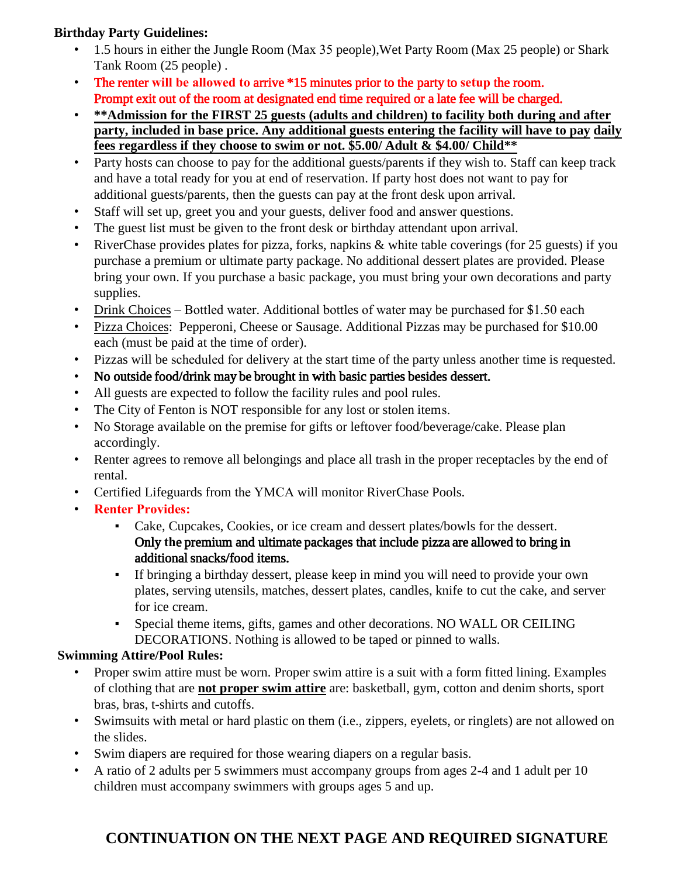#### **Birthday Party Guidelines:**

- 1.5 hours in either the Jungle Room (Max 35 people), Wet Party Room (Max 25 people) or Shark Tank Room (25 people) .
- The renter **will be allowed to** arrive \*15 minutes prior to the party to **setup** the room. Prompt exit out of the room at designated end time required or a late fee will be charged.
- **\*\*Admission for the FIRST 25 guests (adults and children) to facility both during and after party, included in base price. Any additional guests entering the facility will have to pay daily fees regardless if they choose to swim or not. \$5.00/ Adult & \$4.00/ Child\*\***
- Party hosts can choose to pay for the additional guests/parents if they wish to. Staff can keep track and have a total ready for you at end of reservation. If party host does not want to pay for additional guests/parents, then the guests can pay at the front desk upon arrival.
- Staff will set up, greet you and your guests, deliver food and answer questions.
- The guest list must be given to the front desk or birthday attendant upon arrival.
- RiverChase provides plates for pizza, forks, napkins & white table coverings (for 25 guests) if you purchase a premium or ultimate party package. No additional dessert plates are provided. Please bring your own. If you purchase a basic package, you must bring your own decorations and party supplies.
- Drink Choices Bottled water. Additional bottles of water may be purchased for \$1.50 each
- Pizza Choices: Pepperoni, Cheese or Sausage. Additional Pizzas may be purchased for \$10.00 each (must be paid at the time of order).
- Pizzas will be scheduled for delivery at the start time of the party unless another time is requested.
- No outside food/drink may be brought in with basic parties besides dessert.
- All guests are expected to follow the facility rules and pool rules.
- The City of Fenton is NOT responsible for any lost or stolen items.
- No Storage available on the premise for gifts or leftover food/beverage/cake. Please plan accordingly.
- Renter agrees to remove all belongings and place all trash in the proper receptacles by the end of rental.
- Certified Lifeguards from the YMCA will monitor RiverChase Pools.
- **Renter Provides:**
	- Cake, Cupcakes, Cookies, or ice cream and dessert plates/bowls for the dessert. Only **th**e premium and ultimate packages that include pizza are allowed to bring in additional snacks/food items.
	- If bringing a birthday dessert, please keep in mind you will need to provide your own plates, serving utensils, matches, dessert plates, candles, knife to cut the cake, and server for ice cream.
	- Special theme items, gifts, games and other decorations. NO WALL OR CEILING DECORATIONS. Nothing is allowed to be taped or pinned to walls.

## **Swimming Attire/Pool Rules:**

- Proper swim attire must be worn. Proper swim attire is a suit with a form fitted lining. Examples of clothing that are **not proper swim attire** are: basketball, gym, cotton and denim shorts, sport bras, bras, t-shirts and cutoffs.
- Swimsuits with metal or hard plastic on them (i.e., zippers, eyelets, or ringlets) are not allowed on the slides.
- Swim diapers are required for those wearing diapers on a regular basis.
- A ratio of 2 adults per 5 swimmers must accompany groups from ages 2-4 and 1 adult per 10 children must accompany swimmers with groups ages 5 and up.

# **CONTINUATION ON THE NEXT PAGE AND REQUIRED SIGNATURE**